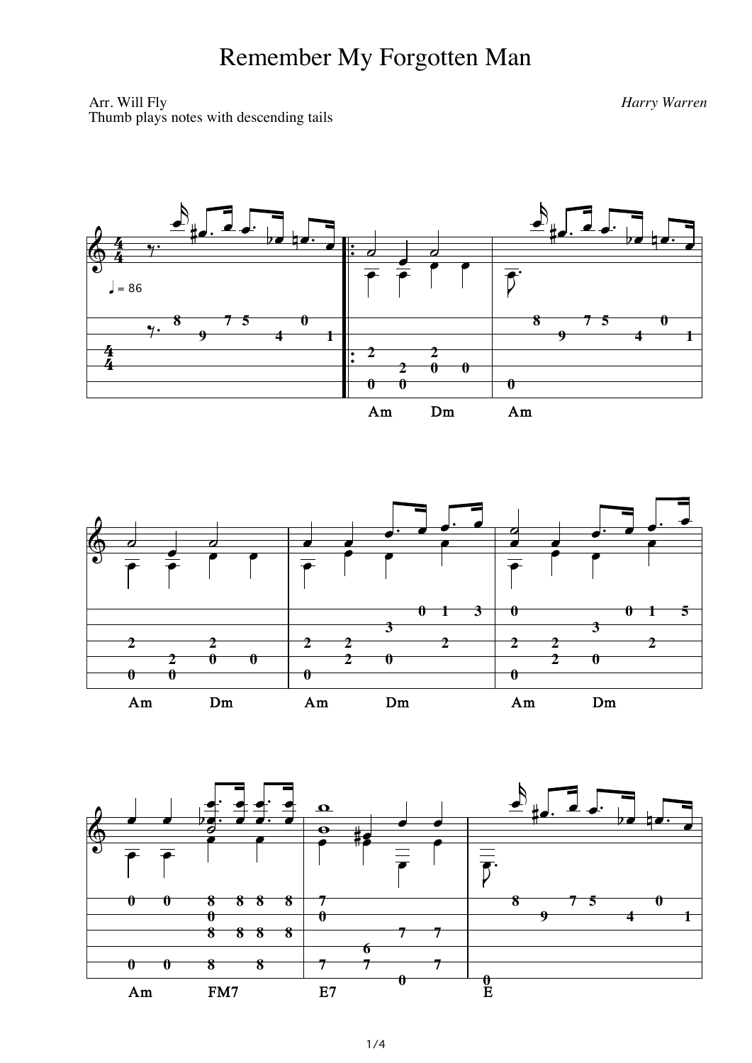## Remember My Forgotten Man

Arr. Will Fly Thumb plays notes with descending tails Harry Warren





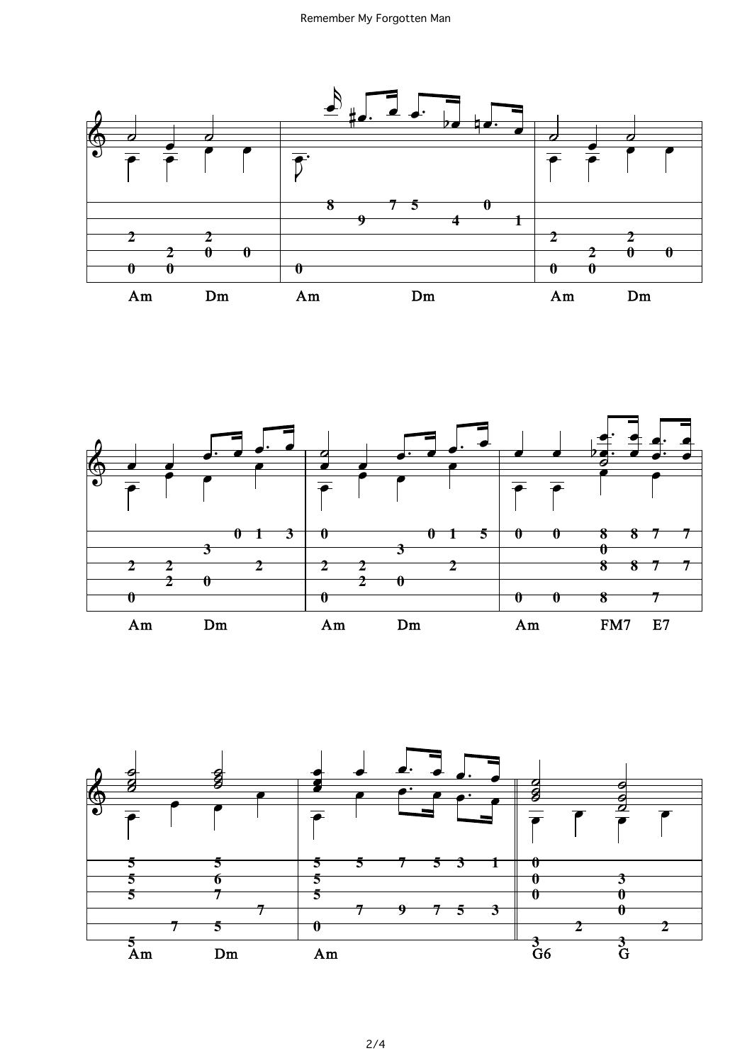



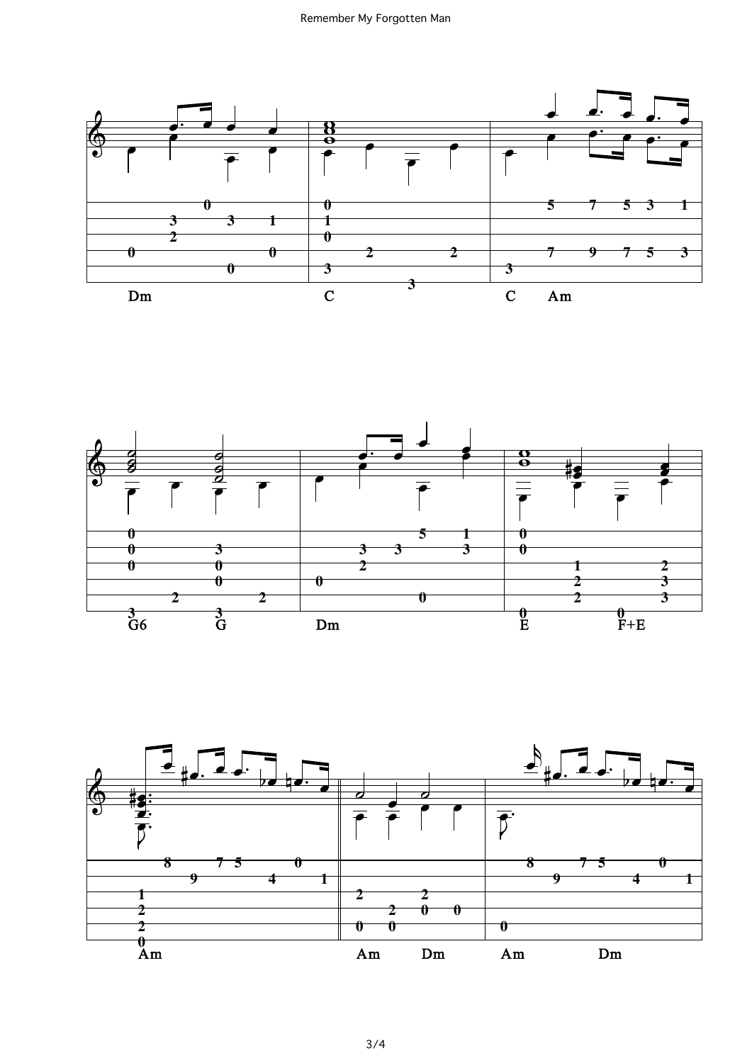